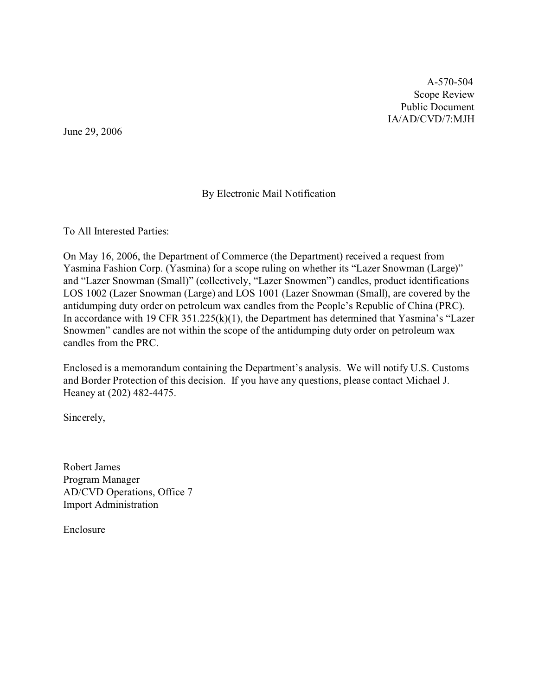A-570-504 Scope Review Public Document IA/AD/CVD/7:MJH

June 29, 2006

## By Electronic Mail Notification

To All Interested Parties:

On May 16, 2006, the Department of Commerce (the Department) received a request from Yasmina Fashion Corp. (Yasmina) for a scope ruling on whether its "Lazer Snowman (Large)" and "Lazer Snowman (Small)" (collectively, "Lazer Snowmen") candles, product identifications LOS 1002 (Lazer Snowman (Large) and LOS 1001 (Lazer Snowman (Small), are covered by the antidumping duty order on petroleum wax candles from the People's Republic of China (PRC). In accordance with 19 CFR 351.225(k)(1), the Department has determined that Yasmina's "Lazer Snowmen" candles are not within the scope of the antidumping duty order on petroleum wax candles from the PRC.

Enclosed is a memorandum containing the Department's analysis. We will notify U.S. Customs and Border Protection of this decision. If you have any questions, please contact Michael J. Heaney at (202) 482-4475.

Sincerely,

Robert James Program Manager AD/CVD Operations, Office 7 Import Administration

Enclosure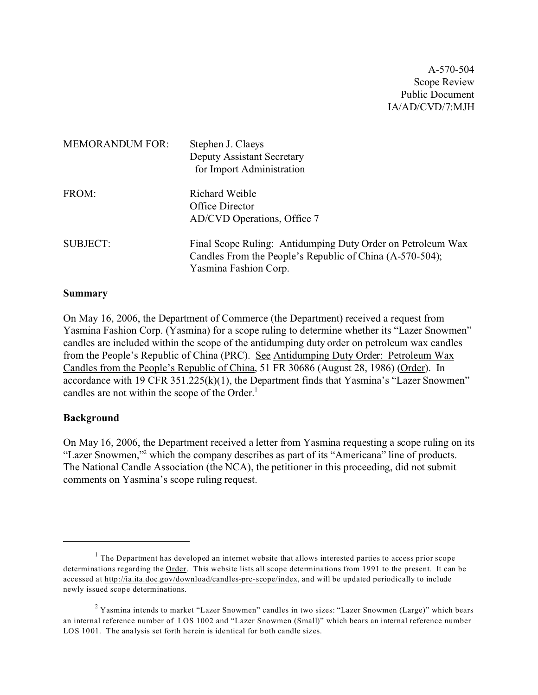A-570-504 Scope Review Public Document IA/AD/CVD/7:MJH

| <b>MEMORANDUM FOR:</b> | Stephen J. Claeys<br><b>Deputy Assistant Secretary</b><br>for Import Administration                                                              |
|------------------------|--------------------------------------------------------------------------------------------------------------------------------------------------|
| FROM:                  | Richard Weible<br>Office Director<br>AD/CVD Operations, Office 7                                                                                 |
| <b>SUBJECT:</b>        | Final Scope Ruling: Antidumping Duty Order on Petroleum Wax<br>Candles From the People's Republic of China (A-570-504);<br>Yasmina Fashion Corp. |

#### **Summary**

On May 16, 2006, the Department of Commerce (the Department) received a request from Yasmina Fashion Corp. (Yasmina) for a scope ruling to determine whether its "Lazer Snowmen" candles are included within the scope of the antidumping duty order on petroleum wax candles from the People's Republic of China (PRC). See Antidumping Duty Order: Petroleum Wax Candles from the People's Republic of China, 51 FR 30686 (August 28, 1986) (Order). In accordance with 19 CFR 351.225(k)(1), the Department finds that Yasmina's "Lazer Snowmen" candles are not within the scope of the Order. 1

#### **Background**

On May 16, 2006, the Department received a letter from Yasmina requesting a scope ruling on its "Lazer Snowmen,"<sup>2</sup> which the company describes as part of its "Americana" line of products. The National Candle Association (the NCA), the petitioner in this proceeding, did not submit comments on Yasmina's scope ruling request.

 $<sup>1</sup>$  The Department has developed an internet website that allows interested parties to access prior scope</sup> determinations regarding the Order. This website lists all scope determinations from 1991 to the present. It can be accessed at [http://ia.ita.doc.gov/download/candles-prc-scope/index,](http://ia.ita.doc.gov/download/candles-prc-scope/,) and will be updated periodically to include newly issued scope determinations.

 $2$  Yasmina intends to market "Lazer Snowmen" candles in two sizes: "Lazer Snowmen (Large)" which bears an internal reference number of LOS 1002 and "Lazer Snowmen (Small)" which bears an internal reference number LOS 1001. The analysis set forth herein is identical for both candle sizes.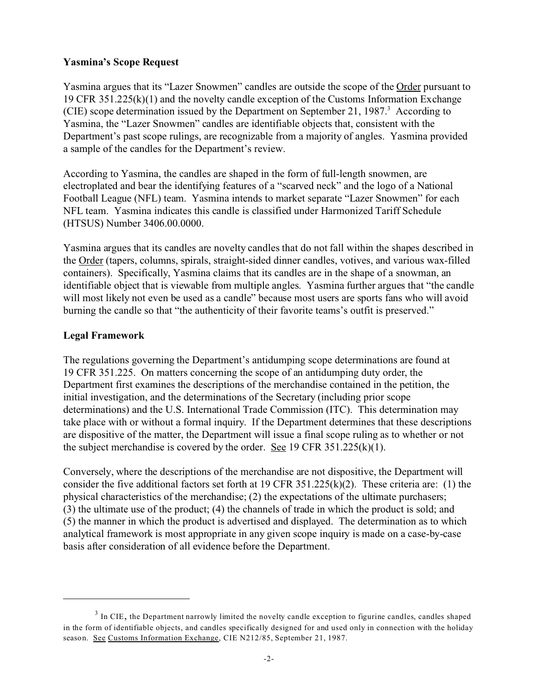## **Yasmina's Scope Request**

Yasmina argues that its "Lazer Snowmen" candles are outside the scope of the Order pursuant to 19 CFR 351.225(k)(1) and the novelty candle exception of the Customs Information Exchange (CIE) scope determination issued by the Department on September 21, 1987. $3$  According to Yasmina, the "Lazer Snowmen" candles are identifiable objects that, consistent with the Department's past scope rulings, are recognizable from a majority of angles. Yasmina provided a sample of the candles for the Department's review.

According to Yasmina, the candles are shaped in the form of full-length snowmen, are electroplated and bear the identifying features of a "scarved neck" and the logo of a National Football League (NFL) team. Yasmina intends to market separate "Lazer Snowmen" for each NFL team. Yasmina indicates this candle is classified under Harmonized Tariff Schedule (HTSUS) Number 3406.00.0000.

Yasmina argues that its candles are novelty candles that do not fall within the shapes described in the Order (tapers, columns, spirals, straight-sided dinner candles, votives, and various wax-filled containers). Specifically, Yasmina claims that its candles are in the shape of a snowman, an identifiable object that is viewable from multiple angles. Yasmina further argues that "the candle will most likely not even be used as a candle" because most users are sports fans who will avoid burning the candle so that "the authenticity of their favorite teams's outfit is preserved."

## **Legal Framework**

The regulations governing the Department's antidumping scope determinations are found at 19 CFR 351.225. On matters concerning the scope of an antidumping duty order, the Department first examines the descriptions of the merchandise contained in the petition, the initial investigation, and the determinations of the Secretary (including prior scope determinations) and the U.S. International Trade Commission (ITC). This determination may take place with or without a formal inquiry. If the Department determines that these descriptions are dispositive of the matter, the Department will issue a final scope ruling as to whether or not the subject merchandise is covered by the order. See 19 CFR 351.225(k)(1).

Conversely, where the descriptions of the merchandise are not dispositive, the Department will consider the five additional factors set forth at 19 CFR 351.225(k)(2). These criteria are: (1) the physical characteristics of the merchandise; (2) the expectations of the ultimate purchasers; (3) the ultimate use of the product; (4) the channels of trade in which the product is sold; and (5) the manner in which the product is advertised and displayed. The determination as to which analytical framework is most appropriate in any given scope inquiry is made on a case-by-case basis after consideration of all evidence before the Department.

 $3$  In CIE, the Department narrowly limited the novelty candle exception to figurine candles, candles shaped in the form of identifiable objects, and candles specifically designed for and used only in connection with the holiday season. See Customs Information Exchange, CIE N212/85, September 21, 1987.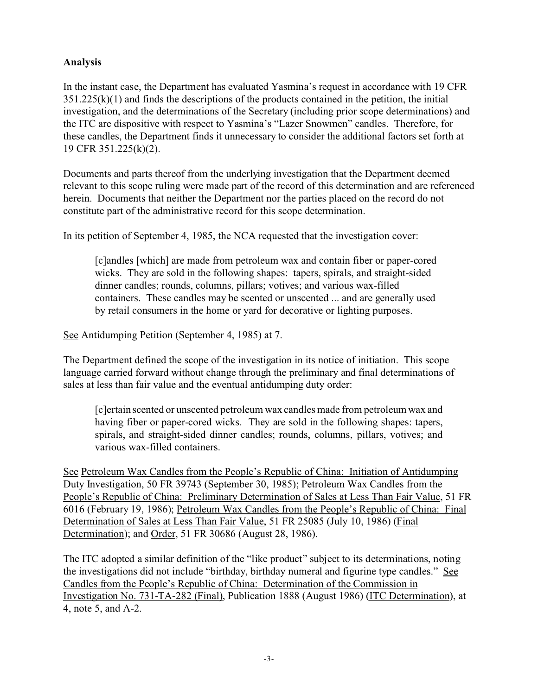# **Analysis**

In the instant case, the Department has evaluated Yasmina's request in accordance with 19 CFR  $351.225(k)(1)$  and finds the descriptions of the products contained in the petition, the initial investigation, and the determinations of the Secretary (including prior scope determinations) and the ITC are dispositive with respect to Yasmina's "Lazer Snowmen" candles. Therefore, for these candles, the Department finds it unnecessary to consider the additional factors set forth at 19 CFR 351.225(k)(2).

Documents and parts thereof from the underlying investigation that the Department deemed relevant to this scope ruling were made part of the record of this determination and are referenced herein. Documents that neither the Department nor the parties placed on the record do not constitute part of the administrative record for this scope determination.

In its petition of September 4, 1985, the NCA requested that the investigation cover:

[c]andles [which] are made from petroleum wax and contain fiber or paper-cored wicks. They are sold in the following shapes: tapers, spirals, and straight-sided dinner candles; rounds, columns, pillars; votives; and various wax-filled containers. These candles may be scented or unscented ... and are generally used by retail consumers in the home or yard for decorative or lighting purposes.

See Antidumping Petition (September 4, 1985) at 7.

The Department defined the scope of the investigation in its notice of initiation. This scope language carried forward without change through the preliminary and final determinations of sales at less than fair value and the eventual antidumping duty order:

[c]ertain scented or unscented petroleum wax candles made from petroleum wax and having fiber or paper-cored wicks. They are sold in the following shapes: tapers, spirals, and straight-sided dinner candles; rounds, columns, pillars, votives; and various wax-filled containers.

See Petroleum Wax Candles from the People's Republic of China: Initiation of Antidumping Duty Investigation, 50 FR 39743 (September 30, 1985); Petroleum Wax Candles from the People's Republic of China: Preliminary Determination of Sales at Less Than Fair Value, 51 FR 6016 (February 19, 1986); Petroleum Wax Candles from the People's Republic of China: Final Determination of Sales at Less Than Fair Value, 51 FR 25085 (July 10, 1986) (Final Determination); and Order, 51 FR 30686 (August 28, 1986).

The ITC adopted a similar definition of the "like product" subject to its determinations, noting the investigations did not include "birthday, birthday numeral and figurine type candles." See Candles from the People's Republic of China: Determination of the Commission in Investigation No. 731-TA-282 (Final), Publication 1888 (August 1986) (ITC Determination), at 4, note 5, and A-2.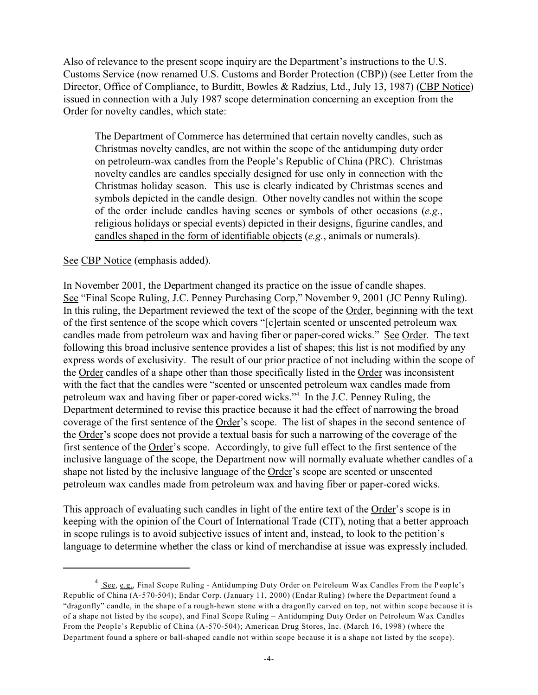Also of relevance to the present scope inquiry are the Department's instructions to the U.S. Customs Service (now renamed U.S. Customs and Border Protection (CBP)) (see Letter from the Director, Office of Compliance, to Burditt, Bowles & Radzius, Ltd., July 13, 1987) (CBP Notice) issued in connection with a July 1987 scope determination concerning an exception from the Order for novelty candles, which state:

The Department of Commerce has determined that certain novelty candles, such as Christmas novelty candles, are not within the scope of the antidumping duty order on petroleum-wax candles from the People's Republic of China (PRC). Christmas novelty candles are candles specially designed for use only in connection with the Christmas holiday season. This use is clearly indicated by Christmas scenes and symbols depicted in the candle design. Other novelty candles not within the scope of the order include candles having scenes or symbols of other occasions (*e.g.*, religious holidays or special events) depicted in their designs, figurine candles, and candles shaped in the form of identifiable objects (*e.g.*, animals or numerals).

### See CBP Notice (emphasis added).

In November 2001, the Department changed its practice on the issue of candle shapes. See "Final Scope Ruling, J.C. Penney Purchasing Corp," November 9, 2001 (JC Penny Ruling). In this ruling, the Department reviewed the text of the scope of the Order, beginning with the text of the first sentence of the scope which covers "[c]ertain scented or unscented petroleum wax candles made from petroleum wax and having fiber or paper-cored wicks." See Order. The text following this broad inclusive sentence provides a list of shapes; this list is not modified by any express words of exclusivity. The result of our prior practice of not including within the scope of the Order candles of a shape other than those specifically listed in the Order was inconsistent with the fact that the candles were "scented or unscented petroleum wax candles made from petroleum wax and having fiber or paper-cored wicks."<sup>4</sup> In the J.C. Penney Ruling, the Department determined to revise this practice because it had the effect of narrowing the broad coverage of the first sentence of the Order's scope. The list of shapes in the second sentence of the Order's scope does not provide a textual basis for such a narrowing of the coverage of the first sentence of the Order's scope. Accordingly, to give full effect to the first sentence of the inclusive language of the scope, the Department now will normally evaluate whether candles of a shape not listed by the inclusive language of the Order's scope are scented or unscented petroleum wax candles made from petroleum wax and having fiber or paper-cored wicks.

This approach of evaluating such candles in light of the entire text of the Order's scope is in keeping with the opinion of the Court of International Trade (CIT), noting that a better approach in scope rulings is to avoid subjective issues of intent and, instead, to look to the petition's language to determine whether the class or kind of merchandise at issue was expressly included.

<sup>&</sup>lt;sup>4</sup> See, e.g., Final Scope Ruling - Antidumping Duty Order on Petroleum Wax Candles From the People's Republic of China (A-570-504); Endar Corp. (January 11, 2000) (Endar Ruling) (where the Department found a "dragonfly" candle, in the shape of a rough-hewn stone with a dragonfly carved on top, not within scope because it is of a shape not listed by the scope), and Final Scope Ruling – Antidumping Duty Order on Petroleum Wax Candles From the People's Republic of China (A-570-504); American Drug Stores, Inc. (March 16, 1998) (where the Department found a sphere or ball-shaped candle not within scope because it is a shape not listed by the scope).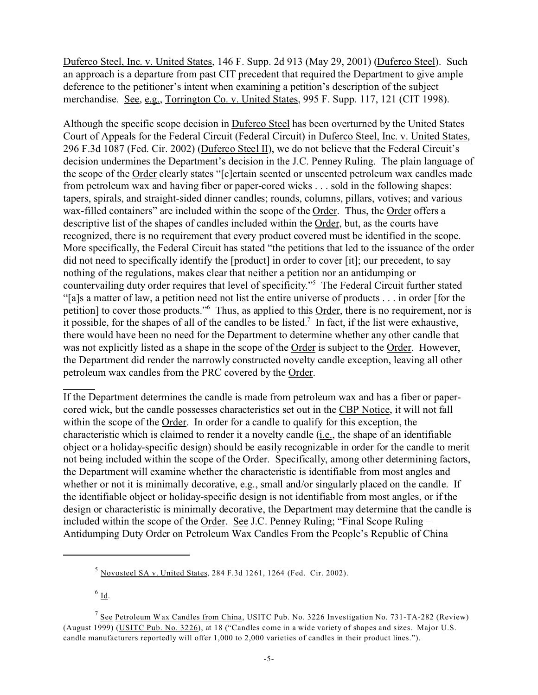Duferco Steel, Inc. v. United States, 146 F. Supp. 2d 913 (May 29, 2001) (Duferco Steel). Such an approach is a departure from past CIT precedent that required the Department to give ample deference to the petitioner's intent when examining a petition's description of the subject merchandise. See, e.g., Torrington Co. v. United States, 995 F. Supp. 117, 121 (CIT 1998).

Although the specific scope decision in Duferco Steel has been overturned by the United States Court of Appeals for the Federal Circuit (Federal Circuit) in Duferco Steel, Inc. v. United States, 296 F.3d 1087 (Fed. Cir. 2002) (Duferco Steel II), we do not believe that the Federal Circuit's decision undermines the Department's decision in the J.C. Penney Ruling. The plain language of the scope of the Order clearly states "[c]ertain scented or unscented petroleum wax candles made from petroleum wax and having fiber or paper-cored wicks . . . sold in the following shapes: tapers, spirals, and straight-sided dinner candles; rounds, columns, pillars, votives; and various wax-filled containers" are included within the scope of the Order. Thus, the Order offers a descriptive list of the shapes of candles included within the Order, but, as the courts have recognized, there is no requirement that every product covered must be identified in the scope. More specifically, the Federal Circuit has stated "the petitions that led to the issuance of the order did not need to specifically identify the [product] in order to cover [it]; our precedent, to say nothing of the regulations, makes clear that neither a petition nor an antidumping or countervailing duty order requires that level of specificity."<sup>5</sup> The Federal Circuit further stated "[a]s a matter of law, a petition need not list the entire universe of products . . . in order [for the petition] to cover those products."<sup>6</sup> Thus, as applied to this **Order**, there is no requirement, nor is it possible, for the shapes of all of the candles to be listed.<sup>7</sup> In fact, if the list were exhaustive, there would have been no need for the Department to determine whether any other candle that was not explicitly listed as a shape in the scope of the Order is subject to the Order. However, the Department did render the narrowly constructed novelty candle exception, leaving all other petroleum wax candles from the PRC covered by the Order.

If the Department determines the candle is made from petroleum wax and has a fiber or papercored wick, but the candle possesses characteristics set out in the CBP Notice, it will not fall within the scope of the Order. In order for a candle to qualify for this exception, the characteristic which is claimed to render it a novelty candle (i.e., the shape of an identifiable object or a holiday-specific design) should be easily recognizable in order for the candle to merit not being included within the scope of the Order. Specifically, among other determining factors, the Department will examine whether the characteristic is identifiable from most angles and whether or not it is minimally decorative, e.g., small and/or singularly placed on the candle. If the identifiable object or holiday-specific design is not identifiable from most angles, or if the design or characteristic is minimally decorative, the Department may determine that the candle is included within the scope of the Order. See J.C. Penney Ruling; "Final Scope Ruling – Antidumping Duty Order on Petroleum Wax Candles From the People's Republic of China

 $^6$  <u>Id</u>.

 $5$  Novosteel SA v. United States, 284 F.3d 1261, 1264 (Fed. Cir. 2002).

<sup>&</sup>lt;sup>7</sup> See Petroleum Wax Candles from China, USITC Pub. No. 3226 Investigation No. 731-TA-282 (Review) (August 1999) (USITC Pub. No. 3226), at 18 ("Candles come in a wide variety of shapes and sizes. Major U.S. candle manufacturers reportedly will offer 1,000 to 2,000 varieties of candles in their product lines.").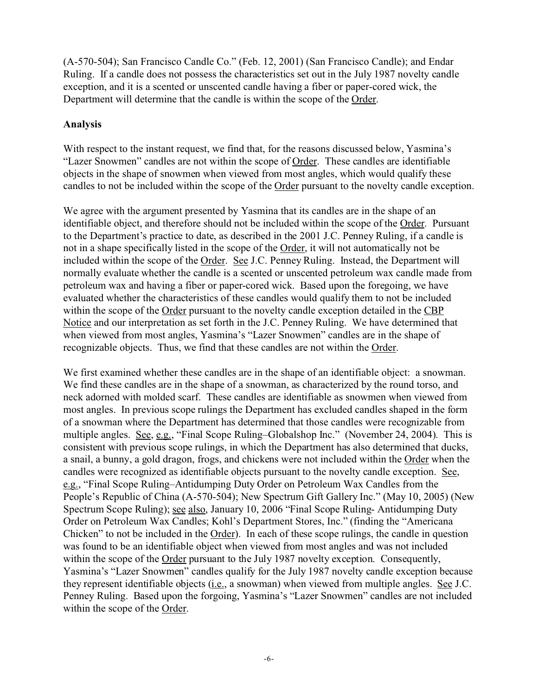(A-570-504); San Francisco Candle Co." (Feb. 12, 2001) (San Francisco Candle); and Endar Ruling. If a candle does not possess the characteristics set out in the July 1987 novelty candle exception, and it is a scented or unscented candle having a fiber or paper-cored wick, the Department will determine that the candle is within the scope of the Order.

## **Analysis**

With respect to the instant request, we find that, for the reasons discussed below, Yasmina's "Lazer Snowmen" candles are not within the scope of Order. These candles are identifiable objects in the shape of snowmen when viewed from most angles, which would qualify these candles to not be included within the scope of the Order pursuant to the novelty candle exception.

We agree with the argument presented by Yasmina that its candles are in the shape of an identifiable object, and therefore should not be included within the scope of the Order. Pursuant to the Department's practice to date, as described in the 2001 J.C. Penney Ruling, if a candle is not in a shape specifically listed in the scope of the Order, it will not automatically not be included within the scope of the Order. See J.C. Penney Ruling. Instead, the Department will normally evaluate whether the candle is a scented or unscented petroleum wax candle made from petroleum wax and having a fiber or paper-cored wick. Based upon the foregoing, we have evaluated whether the characteristics of these candles would qualify them to not be included within the scope of the Order pursuant to the novelty candle exception detailed in the CBP Notice and our interpretation as set forth in the J.C. Penney Ruling. We have determined that when viewed from most angles, Yasmina's "Lazer Snowmen" candles are in the shape of recognizable objects. Thus, we find that these candles are not within the Order.

We first examined whether these candles are in the shape of an identifiable object: a snowman. We find these candles are in the shape of a snowman, as characterized by the round torso, and neck adorned with molded scarf. These candles are identifiable as snowmen when viewed from most angles. In previous scope rulings the Department has excluded candles shaped in the form of a snowman where the Department has determined that those candles were recognizable from multiple angles. See, e.g., "Final Scope Ruling–Globalshop Inc." (November 24, 2004). This is consistent with previous scope rulings, in which the Department has also determined that ducks, a snail, a bunny, a gold dragon, frogs, and chickens were not included within the Order when the candles were recognized as identifiable objects pursuant to the novelty candle exception. See, e.g., "Final Scope Ruling–Antidumping Duty Order on Petroleum Wax Candles from the People's Republic of China (A-570-504); New Spectrum Gift Gallery Inc." (May 10, 2005) (New Spectrum Scope Ruling); see also, January 10, 2006 "Final Scope Ruling- Antidumping Duty Order on Petroleum Wax Candles; Kohl's Department Stores, Inc." (finding the "Americana Chicken" to not be included in the Order). In each of these scope rulings, the candle in question was found to be an identifiable object when viewed from most angles and was not included within the scope of the Order pursuant to the July 1987 novelty exception. Consequently, Yasmina's "Lazer Snowmen" candles qualify for the July 1987 novelty candle exception because they represent identifiable objects (i.e., a snowman) when viewed from multiple angles. See J.C. Penney Ruling. Based upon the forgoing, Yasmina's "Lazer Snowmen" candles are not included within the scope of the Order.